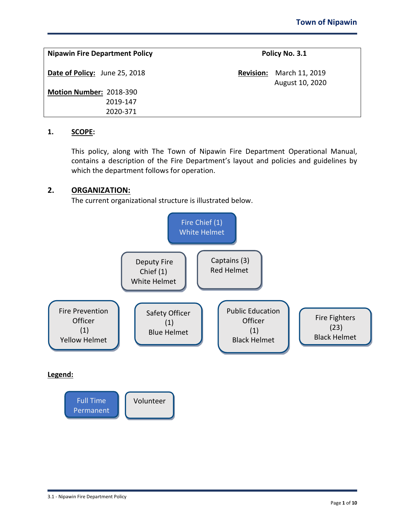| <b>Nipawin Fire Department Policy</b> | Policy No. 3.1                                        |
|---------------------------------------|-------------------------------------------------------|
| Date of Policy: June 25, 2018         | March 11, 2019<br><b>Revision:</b><br>August 10, 2020 |
| Motion Number: 2018-390               |                                                       |
| 2019-147                              |                                                       |
| 2020-371                              |                                                       |

### **1. SCOPE:**

This policy, along with The Town of Nipawin Fire Department Operational Manual, contains a description of the Fire Department's layout and policies and guidelines by which the department follows for operation.

# **2. ORGANIZATION:**

The current organizational structure is illustrated below.

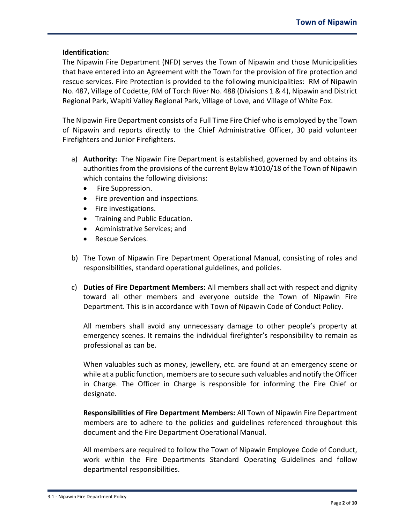### **Identification:**

The Nipawin Fire Department (NFD) serves the Town of Nipawin and those Municipalities that have entered into an Agreement with the Town for the provision of fire protection and rescue services. Fire Protection is provided to the following municipalities: RM of Nipawin No. 487, Village of Codette, RM of Torch River No. 488 (Divisions 1 & 4), Nipawin and District Regional Park, Wapiti Valley Regional Park, Village of Love, and Village of White Fox.

The Nipawin Fire Department consists of a Full Time Fire Chief who is employed by the Town of Nipawin and reports directly to the Chief Administrative Officer, 30 paid volunteer Firefighters and Junior Firefighters.

- a) **Authority:** The Nipawin Fire Department is established, governed by and obtains its authorities from the provisions of the current Bylaw #1010/18 of the Town of Nipawin which contains the following divisions:
	- Fire Suppression.
	- Fire prevention and inspections.
	- Fire investigations.
	- Training and Public Education.
	- Administrative Services; and
	- Rescue Services.
- b) The Town of Nipawin Fire Department Operational Manual, consisting of roles and responsibilities, standard operational guidelines, and policies.
- c) **Duties of Fire Department Members:** All members shall act with respect and dignity toward all other members and everyone outside the Town of Nipawin Fire Department. This is in accordance with Town of Nipawin Code of Conduct Policy.

All members shall avoid any unnecessary damage to other people's property at emergency scenes. It remains the individual firefighter's responsibility to remain as professional as can be.

When valuables such as money, jewellery, etc. are found at an emergency scene or while at a public function, members are to secure such valuables and notify the Officer in Charge. The Officer in Charge is responsible for informing the Fire Chief or designate.

**Responsibilities of Fire Department Members:** All Town of Nipawin Fire Department members are to adhere to the policies and guidelines referenced throughout this document and the Fire Department Operational Manual.

All members are required to follow the Town of Nipawin Employee Code of Conduct, work within the Fire Departments Standard Operating Guidelines and follow departmental responsibilities.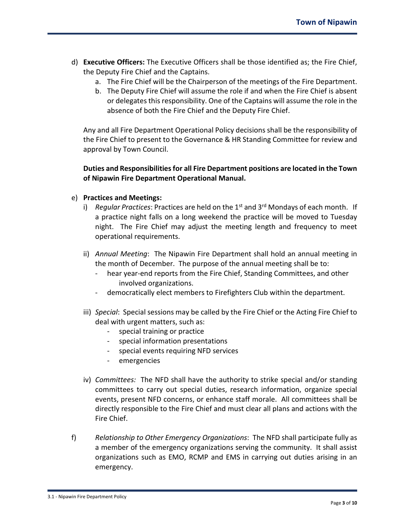- d) **Executive Officers:** The Executive Officers shall be those identified as; the Fire Chief, the Deputy Fire Chief and the Captains.
	- a. The Fire Chief will be the Chairperson of the meetings of the Fire Department.
	- b. The Deputy Fire Chief will assume the role if and when the Fire Chief is absent or delegates this responsibility. One of the Captains will assume the role in the absence of both the Fire Chief and the Deputy Fire Chief.

Any and all Fire Department Operational Policy decisions shall be the responsibility of the Fire Chief to present to the Governance & HR Standing Committee for review and approval by Town Council.

**Duties and Responsibilities for all Fire Department positions are located in the Town of Nipawin Fire Department Operational Manual.**

#### e) **Practices and Meetings:**

- i) *Regular Practices*: Practices are held on the 1<sup>st</sup> and 3<sup>rd</sup> Mondays of each month. If a practice night falls on a long weekend the practice will be moved to Tuesday night. The Fire Chief may adjust the meeting length and frequency to meet operational requirements.
- ii) *Annual Meeting*: The Nipawin Fire Department shall hold an annual meeting in the month of December. The purpose of the annual meeting shall be to:
	- hear year-end reports from the Fire Chief, Standing Committees, and other involved organizations.
	- democratically elect members to Firefighters Club within the department.
- iii) *Special*: Special sessions may be called by the Fire Chief or the Acting Fire Chief to deal with urgent matters, such as:
	- special training or practice
	- special information presentations
	- special events requiring NFD services
	- emergencies
- iv) *Committees:* The NFD shall have the authority to strike special and/or standing committees to carry out special duties, research information, organize special events, present NFD concerns, or enhance staff morale. All committees shall be directly responsible to the Fire Chief and must clear all plans and actions with the Fire Chief.
- f) *Relationship to Other Emergency Organizations*: The NFD shall participate fully as a member of the emergency organizations serving the community. It shall assist organizations such as EMO, RCMP and EMS in carrying out duties arising in an emergency.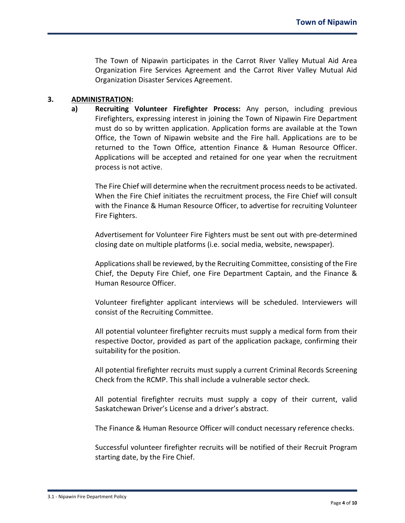The Town of Nipawin participates in the Carrot River Valley Mutual Aid Area Organization Fire Services Agreement and the Carrot River Valley Mutual Aid Organization Disaster Services Agreement.

#### **3. ADMINISTRATION:**

**a) Recruiting Volunteer Firefighter Process:** Any person, including previous Firefighters, expressing interest in joining the Town of Nipawin Fire Department must do so by written application. Application forms are available at the Town Office, the Town of Nipawin website and the Fire hall. Applications are to be returned to the Town Office, attention Finance & Human Resource Officer. Applications will be accepted and retained for one year when the recruitment process is not active.

The Fire Chief will determine when the recruitment process needs to be activated. When the Fire Chief initiates the recruitment process, the Fire Chief will consult with the Finance & Human Resource Officer, to advertise for recruiting Volunteer Fire Fighters.

Advertisement for Volunteer Fire Fighters must be sent out with pre-determined closing date on multiple platforms (i.e. social media, website, newspaper).

Applications shall be reviewed, by the Recruiting Committee, consisting of the Fire Chief, the Deputy Fire Chief, one Fire Department Captain, and the Finance & Human Resource Officer.

Volunteer firefighter applicant interviews will be scheduled. Interviewers will consist of the Recruiting Committee.

All potential volunteer firefighter recruits must supply a medical form from their respective Doctor, provided as part of the application package, confirming their suitability for the position.

All potential firefighter recruits must supply a current Criminal Records Screening Check from the RCMP. This shall include a vulnerable sector check.

All potential firefighter recruits must supply a copy of their current, valid Saskatchewan Driver's License and a driver's abstract.

The Finance & Human Resource Officer will conduct necessary reference checks.

Successful volunteer firefighter recruits will be notified of their Recruit Program starting date, by the Fire Chief.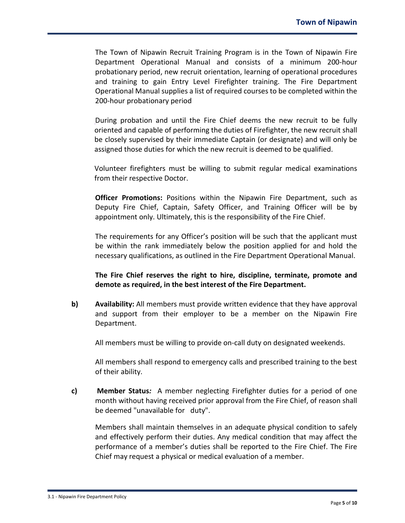The Town of Nipawin Recruit Training Program is in the Town of Nipawin Fire Department Operational Manual and consists of a minimum 200-hour probationary period, new recruit orientation, learning of operational procedures and training to gain Entry Level Firefighter training. The Fire Department Operational Manual supplies a list of required courses to be completed within the 200-hour probationary period

During probation and until the Fire Chief deems the new recruit to be fully oriented and capable of performing the duties of Firefighter, the new recruit shall be closely supervised by their immediate Captain (or designate) and will only be assigned those duties for which the new recruit is deemed to be qualified.

Volunteer firefighters must be willing to submit regular medical examinations from their respective Doctor.

**Officer Promotions:** Positions within the Nipawin Fire Department, such as Deputy Fire Chief, Captain, Safety Officer, and Training Officer will be by appointment only. Ultimately, this is the responsibility of the Fire Chief.

The requirements for any Officer's position will be such that the applicant must be within the rank immediately below the position applied for and hold the necessary qualifications, as outlined in the Fire Department Operational Manual.

**The Fire Chief reserves the right to hire, discipline, terminate, promote and demote as required, in the best interest of the Fire Department.**

**b) Availability:** All members must provide written evidence that they have approval and support from their employer to be a member on the Nipawin Fire Department.

All members must be willing to provide on-call duty on designated weekends.

All members shall respond to emergency calls and prescribed training to the best of their ability.

**c) Member Status***:*A member neglecting Firefighter duties for a period of one month without having received prior approval from the Fire Chief, of reason shall be deemed "unavailable for duty".

Members shall maintain themselves in an adequate physical condition to safely and effectively perform their duties. Any medical condition that may affect the performance of a member's duties shall be reported to the Fire Chief. The Fire Chief may request a physical or medical evaluation of a member.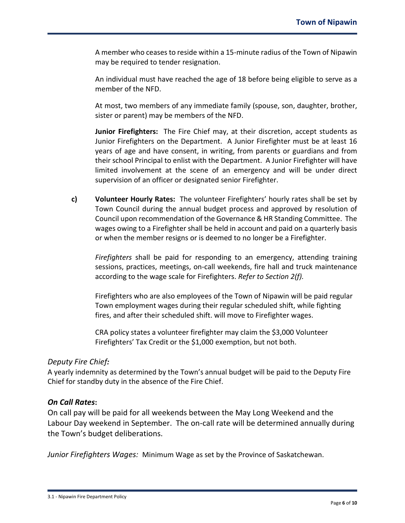A member who ceases to reside within a 15-minute radius of the Town of Nipawin may be required to tender resignation.

An individual must have reached the age of 18 before being eligible to serve as a member of the NFD.

At most, two members of any immediate family (spouse, son, daughter, brother, sister or parent) may be members of the NFD.

**Junior Firefighters:** The Fire Chief may, at their discretion, accept students as Junior Firefighters on the Department. A Junior Firefighter must be at least 16 years of age and have consent, in writing, from parents or guardians and from their school Principal to enlist with the Department. A Junior Firefighter will have limited involvement at the scene of an emergency and will be under direct supervision of an officer or designated senior Firefighter.

**c) Volunteer Hourly Rates:** The volunteer Firefighters' hourly rates shall be set by Town Council during the annual budget process and approved by resolution of Council upon recommendation of the Governance & HR Standing Committee. The wages owing to a Firefighter shall be held in account and paid on a quarterly basis or when the member resigns or is deemed to no longer be a Firefighter.

*Firefighters* shall be paid for responding to an emergency, attending training sessions, practices, meetings, on-call weekends, fire hall and truck maintenance according to the wage scale for Firefighters. *Refer to Section 2(f).*

Firefighters who are also employees of the Town of Nipawin will be paid regular Town employment wages during their regular scheduled shift, while fighting fires, and after their scheduled shift. will move to Firefighter wages.

CRA policy states a volunteer firefighter may claim the \$3,000 Volunteer Firefighters' Tax Credit or the \$1,000 exemption, but not both.

# *Deputy Fire Chief:*

A yearly indemnity as determined by the Town's annual budget will be paid to the Deputy Fire Chief for standby duty in the absence of the Fire Chief.

# *On Call Rates***:**

On call pay will be paid for all weekends between the May Long Weekend and the Labour Day weekend in September. The on-call rate will be determined annually during the Town's budget deliberations.

*Junior Firefighters Wages:* Minimum Wage as set by the Province of Saskatchewan.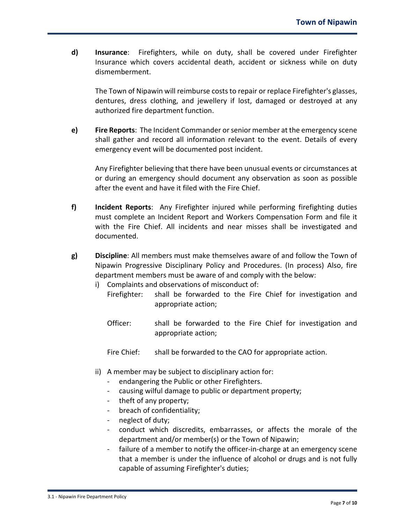**d) Insurance**: Firefighters, while on duty, shall be covered under Firefighter Insurance which covers accidental death, accident or sickness while on duty dismemberment.

The Town of Nipawin will reimburse costs to repair or replace Firefighter's glasses, dentures, dress clothing, and jewellery if lost, damaged or destroyed at any authorized fire department function.

**e) Fire Reports**: The Incident Commander or senior member at the emergency scene shall gather and record all information relevant to the event. Details of every emergency event will be documented post incident.

Any Firefighter believing that there have been unusual events or circumstances at or during an emergency should document any observation as soon as possible after the event and have it filed with the Fire Chief.

- **f) Incident Reports**: Any Firefighter injured while performing firefighting duties must complete an Incident Report and Workers Compensation Form and file it with the Fire Chief. All incidents and near misses shall be investigated and documented.
- **g) Discipline**: All members must make themselves aware of and follow the Town of Nipawin Progressive Disciplinary Policy and Procedures. (In process) Also, fire department members must be aware of and comply with the below:
	- i) Complaints and observations of misconduct of:
		- Firefighter: shall be forwarded to the Fire Chief for investigation and appropriate action;
		- Officer: shall be forwarded to the Fire Chief for investigation and appropriate action;
		- Fire Chief: shall be forwarded to the CAO for appropriate action.
	- ii) A member may be subject to disciplinary action for:
		- endangering the Public or other Firefighters.
		- causing wilful damage to public or department property;
		- theft of any property;
		- breach of confidentiality;
		- neglect of duty;
		- conduct which discredits, embarrasses, or affects the morale of the department and/or member(s) or the Town of Nipawin;
		- failure of a member to notify the officer-in-charge at an emergency scene that a member is under the influence of alcohol or drugs and is not fully capable of assuming Firefighter's duties;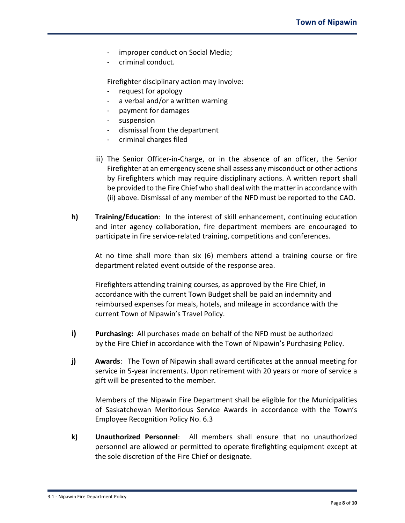- improper conduct on Social Media;
- criminal conduct.

Firefighter disciplinary action may involve:

- request for apology
- a verbal and/or a written warning
- payment for damages
- suspension
- dismissal from the department
- criminal charges filed
- iii) The Senior Officer-in-Charge, or in the absence of an officer, the Senior Firefighter at an emergency scene shall assess any misconduct or other actions by Firefighters which may require disciplinary actions. A written report shall be provided to the Fire Chief who shall deal with the matter in accordance with (ii) above. Dismissal of any member of the NFD must be reported to the CAO.
- **h) Training/Education**: In the interest of skill enhancement, continuing education and inter agency collaboration, fire department members are encouraged to participate in fire service-related training, competitions and conferences.

At no time shall more than six (6) members attend a training course or fire department related event outside of the response area.

Firefighters attending training courses, as approved by the Fire Chief, in accordance with the current Town Budget shall be paid an indemnity and reimbursed expenses for meals, hotels, and mileage in accordance with the current Town of Nipawin's Travel Policy.

- **i) Purchasing:** All purchases made on behalf of the NFD must be authorized by the Fire Chief in accordance with the Town of Nipawin's Purchasing Policy.
- **j) Awards**: The Town of Nipawin shall award certificates at the annual meeting for service in 5-year increments. Upon retirement with 20 years or more of service a gift will be presented to the member.

Members of the Nipawin Fire Department shall be eligible for the Municipalities of Saskatchewan Meritorious Service Awards in accordance with the Town's Employee Recognition Policy No. 6.3

**k) Unauthorized Personnel**: All members shall ensure that no unauthorized personnel are allowed or permitted to operate firefighting equipment except at the sole discretion of the Fire Chief or designate.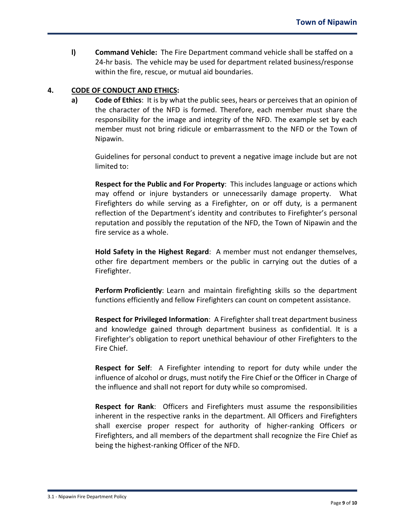**l) Command Vehicle:** The Fire Department command vehicle shall be staffed on a 24-hr basis. The vehicle may be used for department related business/response within the fire, rescue, or mutual aid boundaries.

### **4. CODE OF CONDUCT AND ETHICS:**

**a) Code of Ethics**: It is by what the public sees, hears or perceives that an opinion of the character of the NFD is formed. Therefore, each member must share the responsibility for the image and integrity of the NFD. The example set by each member must not bring ridicule or embarrassment to the NFD or the Town of Nipawin.

Guidelines for personal conduct to prevent a negative image include but are not limited to:

**Respect for the Public and For Property**: This includes language or actions which may offend or injure bystanders or unnecessarily damage property. What Firefighters do while serving as a Firefighter, on or off duty, is a permanent reflection of the Department's identity and contributes to Firefighter's personal reputation and possibly the reputation of the NFD, the Town of Nipawin and the fire service as a whole.

**Hold Safety in the Highest Regard**: A member must not endanger themselves, other fire department members or the public in carrying out the duties of a Firefighter.

**Perform Proficiently**: Learn and maintain firefighting skills so the department functions efficiently and fellow Firefighters can count on competent assistance.

**Respect for Privileged Information**: A Firefighter shall treat department business and knowledge gained through department business as confidential. It is a Firefighter's obligation to report unethical behaviour of other Firefighters to the Fire Chief.

**Respect for Self**: A Firefighter intending to report for duty while under the influence of alcohol or drugs, must notify the Fire Chief or the Officer in Charge of the influence and shall not report for duty while so compromised.

**Respect for Rank**: Officers and Firefighters must assume the responsibilities inherent in the respective ranks in the department. All Officers and Firefighters shall exercise proper respect for authority of higher-ranking Officers or Firefighters, and all members of the department shall recognize the Fire Chief as being the highest-ranking Officer of the NFD.